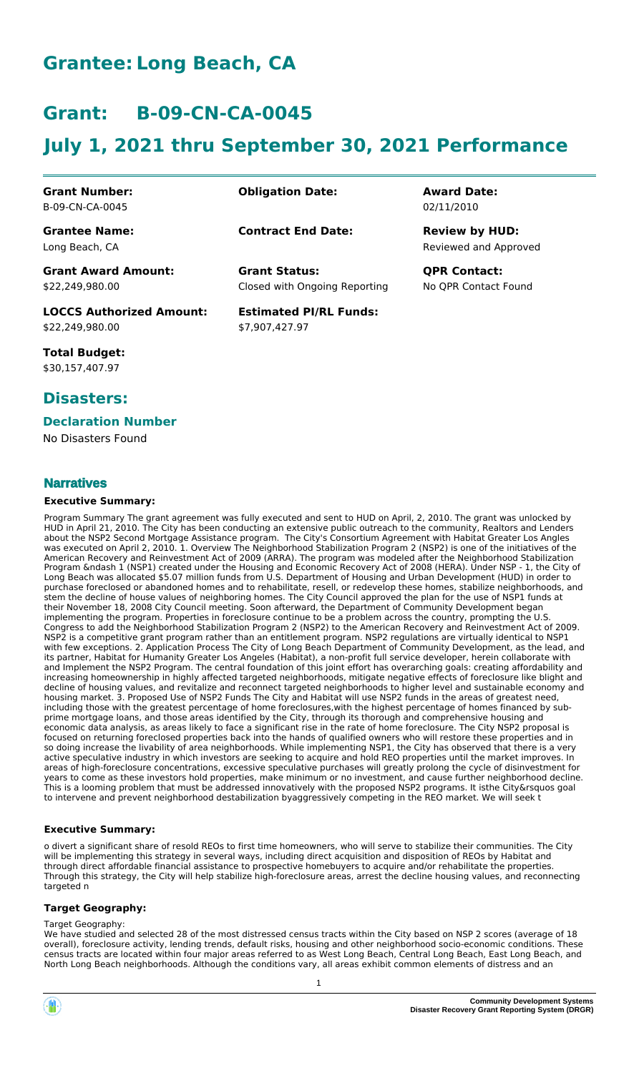# **Grantee: Long Beach, CA**

## **Grant: B-09-CN-CA-0045**

# **July 1, 2021 thru September 30, 2021 Performance**

| <b>Grant Number:</b> |
|----------------------|
| B-09-CN-CA-0045      |

**Grantee Name:** Long Beach, CA

**Obligation Date: Award Date:**

**Contract End Date:**

Closed with Ongoing Reporting **Grant Status: QPR Contact:**

**Estimated PI/RL Funds:** \$7,907,427.97

02/11/2010

Reviewed and Approved **Review by HUD:**

No QPR Contact Found

**Grant Award Amount:** \$22,249,980.00

**LOCCS Authorized Amount:** \$22,249,980.00

**Total Budget:** \$30,157,407.97

### **Disasters:**

### **Declaration Number**

No Disasters Found

### **Narratives**

#### **Executive Summary:**

Program Summary The grant agreement was fully executed and sent to HUD on April, 2, 2010. The grant was unlocked by HUD in April 21, 2010. The City has been conducting an extensive public outreach to the community, Realtors and Lenders about the NSP2 Second Mortgage Assistance program. The City's Consortium Agreement with Habitat Greater Los Angles was executed on April 2, 2010. 1. Overview The Neighborhood Stabilization Program 2 (NSP2) is one of the initiatives of the American Recovery and Reinvestment Act of 2009 (ARRA). The program was modeled after the Neighborhood Stabilization Program &ndash 1 (NSP1) created under the Housing and Economic Recovery Act of 2008 (HERA). Under NSP - 1, the City of Long Beach was allocated \$5.07 million funds from U.S. Department of Housing and Urban Development (HUD) in order to purchase foreclosed or abandoned homes and to rehabilitate, resell, or redevelop these homes, stabilize neighborhoods, and stem the decline of house values of neighboring homes. The City Council approved the plan for the use of NSP1 funds at their November 18, 2008 City Council meeting. Soon afterward, the Department of Community Development began implementing the program. Properties in foreclosure continue to be a problem across the country, prompting the U.S. Congress to add the Neighborhood Stabilization Program 2 (NSP2) to the American Recovery and Reinvestment Act of 2009. NSP2 is a competitive grant program rather than an entitlement program. NSP2 regulations are virtually identical to NSP1 with few exceptions. 2. Application Process The City of Long Beach Department of Community Development, as the lead, and its partner, Habitat for Humanity Greater Los Angeles (Habitat), a non-profit full service developer, herein collaborate with and Implement the NSP2 Program. The central foundation of this joint effort has overarching goals: creating affordability and increasing homeownership in highly affected targeted neighborhoods, mitigate negative effects of foreclosure like blight and decline of housing values, and revitalize and reconnect targeted neighborhoods to higher level and sustainable economy and housing market. 3. Proposed Use of NSP2 Funds The City and Habitat will use NSP2 funds in the areas of greatest need, including those with the greatest percentage of home foreclosures,with the highest percentage of homes financed by subprime mortgage loans, and those areas identified by the City, through its thorough and comprehensive housing and economic data analysis, as areas likely to face a significant rise in the rate of home foreclosure. The City NSP2 proposal is focused on returning foreclosed properties back into the hands of qualified owners who will restore these properties and in so doing increase the livability of area neighborhoods. While implementing NSP1, the City has observed that there is a very active speculative industry in which investors are seeking to acquire and hold REO properties until the market improves. In areas of high-foreclosure concentrations, excessive speculative purchases will greatly prolong the cycle of disinvestment for years to come as these investors hold properties, make minimum or no investment, and cause further neighborhood decline. This is a looming problem that must be addressed innovatively with the proposed NSP2 programs. It isthe City&rsquos goal to intervene and prevent neighborhood destabilization byaggressively competing in the REO market. We will seek t

### **Executive Summary:**

o divert a significant share of resold REOs to first time homeowners, who will serve to stabilize their communities. The City will be implementing this strategy in several ways, including direct acquisition and disposition of REOs by Habitat and through direct affordable financial assistance to prospective homebuyers to acquire and/or rehabilitate the properties. Through this strategy, the City will help stabilize high-foreclosure areas, arrest the decline housing values, and reconnecting targeted n

#### **Target Geography:**

#### Target Geography:

We have studied and selected 28 of the most distressed census tracts within the City based on NSP 2 scores (average of 18 overall), foreclosure activity, lending trends, default risks, housing and other neighborhood socio-economic conditions. These census tracts are located within four major areas referred to as West Long Beach, Central Long Beach, East Long Beach, and North Long Beach neighborhoods. Although the conditions vary, all areas exhibit common elements of distress and an

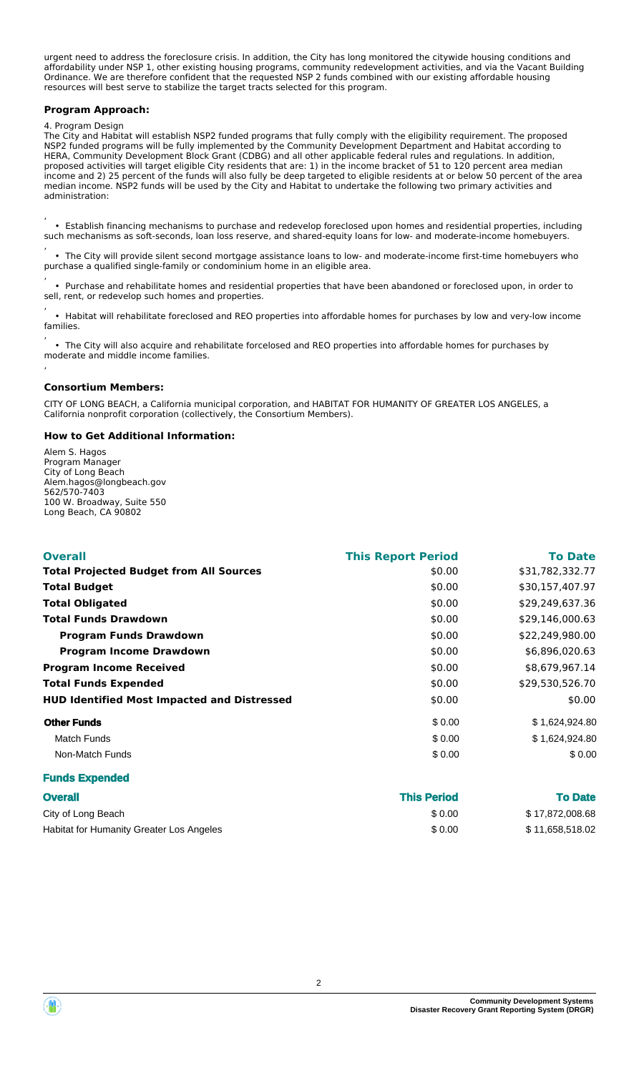urgent need to address the foreclosure crisis. In addition, the City has long monitored the citywide housing conditions and affordability under NSP 1, other existing housing programs, community redevelopment activities, and via the Vacant Building Ordinance. We are therefore confident that the requested NSP 2 funds combined with our existing affordable housing resources will best serve to stabilize the target tracts selected for this program.

#### **Program Approach:**

#### 4. Program Design

The City and Habitat will establish NSP2 funded programs that fully comply with the eligibility requirement. The proposed NSP2 funded programs will be fully implemented by the Community Development Department and Habitat according to HERA, Community Development Block Grant (CDBG) and all other applicable federal rules and regulations. In addition, proposed activities will target eligible City residents that are: 1) in the income bracket of 51 to 120 percent area median income and 2) 25 percent of the funds will also fully be deep targeted to eligible residents at or below 50 percent of the area median income. NSP2 funds will be used by the City and Habitat to undertake the following two primary activities and administration:

, • Establish financing mechanisms to purchase and redevelop foreclosed upon homes and residential properties, including such mechanisms as soft-seconds, loan loss reserve, and shared-equity loans for low- and moderate-income homebuyers.

, • The City will provide silent second mortgage assistance loans to low- and moderate-income first-time homebuyers who purchase a qualified single-family or condominium home in an eligible area.

, • Purchase and rehabilitate homes and residential properties that have been abandoned or foreclosed upon, in order to sell, rent, or redevelop such homes and properties.

, • Habitat will rehabilitate foreclosed and REO properties into affordable homes for purchases by low and very-low income families.

, • The City will also acquire and rehabilitate forcelosed and REO properties into affordable homes for purchases by moderate and middle income families. ,

#### **Consortium Members:**

CITY OF LONG BEACH, a California municipal corporation, and HABITAT FOR HUMANITY OF GREATER LOS ANGELES, a California nonprofit corporation (collectively, the Consortium Members).

#### **How to Get Additional Information:**

Alem S. Hagos Program Manager City of Long Beach Alem.hagos@longbeach.gov 562/570-7403 100 W. Broadway, Suite 550 Long Beach, CA 90802

| <b>Overall</b>                                     | <b>This Report Period</b> | <b>To Date</b>  |
|----------------------------------------------------|---------------------------|-----------------|
| <b>Total Projected Budget from All Sources</b>     | \$0.00                    | \$31,782,332.77 |
| <b>Total Budget</b>                                | \$0.00                    | \$30,157,407.97 |
| <b>Total Obligated</b>                             | \$0.00                    | \$29,249,637.36 |
| <b>Total Funds Drawdown</b>                        | \$0.00                    | \$29,146,000.63 |
| <b>Program Funds Drawdown</b>                      | \$0.00                    | \$22,249,980.00 |
| <b>Program Income Drawdown</b>                     | \$0.00                    | \$6,896,020.63  |
| <b>Program Income Received</b>                     | \$0.00                    | \$8.679.967.14  |
| <b>Total Funds Expended</b>                        | \$0.00                    | \$29,530,526.70 |
| <b>HUD Identified Most Impacted and Distressed</b> | \$0.00                    | \$0.00          |
| <b>Other Funds</b>                                 | \$0.00                    | \$1,624,924.80  |
| <b>Match Funds</b>                                 | \$0.00                    | \$1,624,924.80  |
| Non-Match Funds                                    | \$0.00                    | \$0.00          |
| <b>Funds Expended</b>                              |                           |                 |

| <b>Overall</b>                           | <b>This Period</b> | <b>To Date</b>  |
|------------------------------------------|--------------------|-----------------|
| City of Long Beach                       | \$0.00             | \$17,872,008.68 |
| Habitat for Humanity Greater Los Angeles | \$0.00             | \$11,658,518.02 |